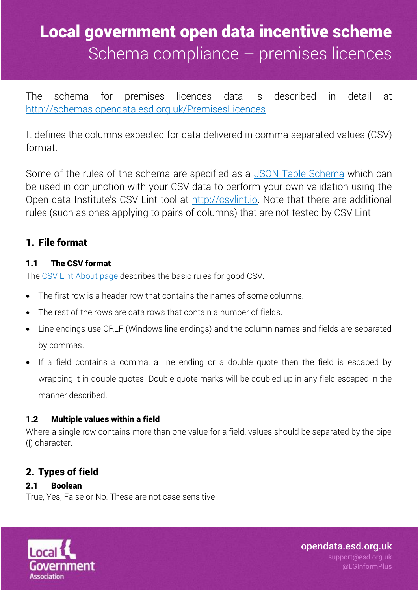The schema for premises licences data is described in detail at [http://schemas.opendata.esd.org.uk/PremisesLicences.](http://schemas.opendata.esd.org.uk/PremisesLicences)

It defines the columns expected for data delivered in comma separated values (CSV) format.

Some of the rules of the schema are specified as a [JSON Table Schema](http://dataprotocols.org/json-table-schema/) which can be used in conjunction with your CSV data to perform your own validation using the Open data Institute's CSV Lint tool at [http://csvlint.io.](http://csvlint.io/) Note that there are additional rules (such as ones applying to pairs of columns) that are not tested by CSV Lint.

## 1. File format

### 1.1 The CSV format

The [CSV Lint About page](http://csvlint.io/about) describes the basic rules for good CSV.

- The first row is a header row that contains the names of some columns.
- The rest of the rows are data rows that contain a number of fields.
- Line endings use CRLF (Windows line endings) and the column names and fields are separated by commas.
- If a field contains a comma, a line ending or a double quote then the field is escaped by wrapping it in double quotes. Double quote marks will be doubled up in any field escaped in the manner described.

#### 1.2 Multiple values within a field

Where a single row contains more than one value for a field, values should be separated by the pipe (|) character.

## 2. Types of field

### 2.1 Boolean

True, Yes, False or No. These are not case sensitive.

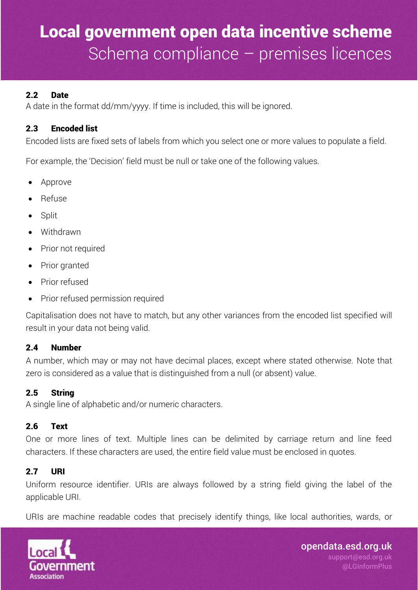#### 2.2 Date

A date in the format dd/mm/yyyy. If time is included, this will be ignored.

#### 2.3 Encoded list

Encoded lists are fixed sets of labels from which you select one or more values to populate a field.

For example, the 'Decision' field must be null or take one of the following values.

- Approve
- Refuse
- Split
- Withdrawn
- Prior not required
- Prior granted
- Prior refused
- Prior refused permission required

Capitalisation does not have to match, but any other variances from the encoded list specified will result in your data not being valid.

#### 2.4 Number

A number, which may or may not have decimal places, except where stated otherwise. Note that zero is considered as a value that is distinguished from a null (or absent) value.

#### 2.5 String

A single line of alphabetic and/or numeric characters.

#### 2.6 Text

One or more lines of text. Multiple lines can be delimited by carriage return and line feed characters. If these characters are used, the entire field value must be enclosed in quotes.

### 2.7 URI

Uniform resource identifier. URIs are always followed by a string field giving the label of the applicable URI.

URIs are machine readable codes that precisely identify things, like local authorities, wards, or

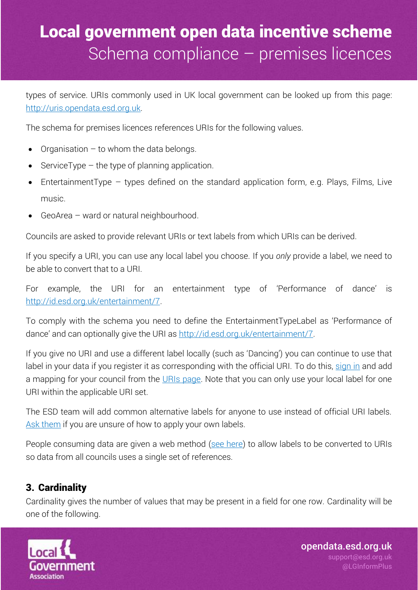types of service. URIs commonly used in UK local government can be looked up from this page: [http://uris.opendata.esd.org.uk.](http://uris.opendata.esd.org.uk/)

The schema for premises licences references URIs for the following values.

- Organisation  $-$  to whom the data belongs.
- $\bullet$  ServiceType the type of planning application.
- EntertainmentType types defined on the standard application form, e.g. Plays, Films, Live music.
- GeoArea ward or natural neighbourhood.

Councils are asked to provide relevant URIs or text labels from which URIs can be derived.

If you specify a URI, you can use any local label you choose. If you *only* provide a label, we need to be able to convert that to a URI.

For example, the URI for an entertainment type of 'Performance of dance' is [http://id.esd.org.uk/entertainment/7.](http://id.esd.org.uk/entertainment/7)

To comply with the schema you need to define the EntertainmentTypeLabel as 'Performance of dance' and can optionally give the URI as [http://id.esd.org.uk/entertainment/7.](http://id.esd.org.uk/entertainment/7)

If you give no URI and use a different label locally (such as 'Dancing') you can continue to use that label in your data if you register it as corresponding with the official URI. To do this, [sign in](https://signin.esd.org.uk/index.html?app=default) and add a mapping for your council from the [URIs page.](http://uris.opendata.esd.org.uk/) Note that you can only use your local label for one URI within the applicable URI set.

The ESD team will add common alternative labels for anyone to use instead of official URI labels. [Ask them](mailto:Support@esd.org.uk?subject=Incentive%20scheme%20local%20URI%20labels) if you are unsure of how to apply your own labels.

People consuming data are given a web method [\(see here\)](http://uris.opendata.esd.org.uk/developers) to allow labels to be converted to URIs so data from all councils uses a single set of references.

## 3. Cardinality

Cardinality gives the number of values that may be present in a field for one row. Cardinality will be one of the following.

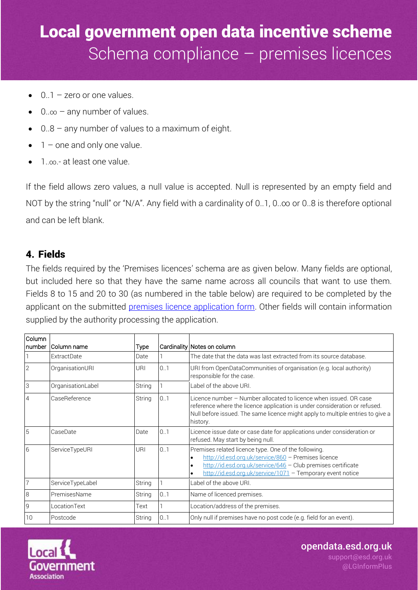- $0.1$  zero or one values.
- $0.\infty$  any number of values.
- 0..8 any number of values to a maximum of eight.
- 1 one and only one value.
- 1..∞.- at least one value.

If the field allows zero values, a null value is accepted. Null is represented by an empty field and NOT by the string "null" or "N/A". Any field with a cardinality of 0..1, 0..∞ or 0..8 is therefore optional and can be left blank.

### 4. Fields

The fields required by the 'Premises licences' schema are as given below. Many fields are optional, but included here so that they have the same name across all councils that want to use them. Fields 8 to 15 and 20 to 30 (as numbered in the table below) are required to be completed by the applicant on the submitted [premises licence application form.](https://www.gov.uk/government/publications/premises-licence-application--2) Other fields will contain information supplied by the authority processing the application.

| Column          |                    |             |     |                                                                                                                                                                                                                                                                     |
|-----------------|--------------------|-------------|-----|---------------------------------------------------------------------------------------------------------------------------------------------------------------------------------------------------------------------------------------------------------------------|
| number          | Column name        | <b>Type</b> |     | Cardinality Notes on column                                                                                                                                                                                                                                         |
|                 | <b>ExtractDate</b> | Date        |     | The date that the data was last extracted from its source database.                                                                                                                                                                                                 |
| $\overline{2}$  | OrganisationURI    | URI         | 0.1 | URI from OpenDataCommunities of organisation (e.g. local authority)<br>responsible for the case.                                                                                                                                                                    |
| 3               | OrganisationLabel  | String      |     | Label of the above URI.                                                                                                                                                                                                                                             |
| $\overline{4}$  | CaseReference      | String      | 0.1 | Licence number - Number allocated to licence when issued. OR case<br>reference where the licence application is under consideration or refused.<br>Null before issued. The same licence might apply to multiple entries to give a<br>history.                       |
| 5               | CaseDate           | Date        | 0.1 | Licence issue date or case date for applications under consideration or<br>refused. May start by being null.                                                                                                                                                        |
| $6\phantom{1}6$ | ServiceTypeURI     | URI         | 0.1 | Premises related licence type. One of the following.<br>http://id.esd.org.uk/service/860 - Premises licence<br>$\bullet$<br>http://id.esd.org.uk/service/646 - Club premises certificate<br>$\bullet$<br>http://id.esd.org.uk/service/1071 - Temporary event notice |
| $\overline{7}$  | ServiceTypeLabel   | String      |     | Label of the above URI.                                                                                                                                                                                                                                             |
| 8               | PremisesName       | String      | 0.1 | Name of licenced premises.                                                                                                                                                                                                                                          |
| ${\mathsf g}$   | LocationText       | Text        |     | Location/address of the premises.                                                                                                                                                                                                                                   |
| 10              | Postcode           | String      | 0.1 | Only null if premises have no post code (e.g. field for an event).                                                                                                                                                                                                  |



opendata.esd.org.uk

support@esd.org.uk @LGInformPlus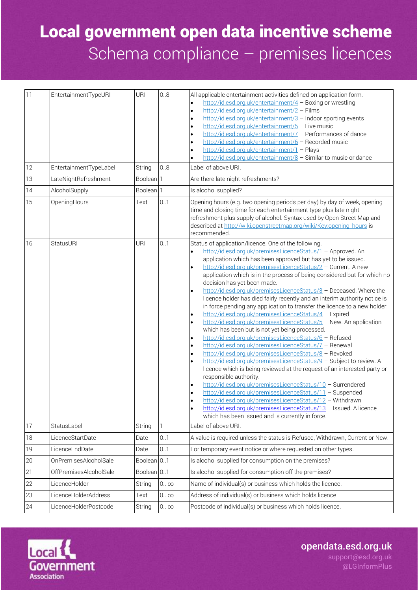| 11     | EntertainmentTypeURI   | URI                    | 0.8         | All applicable entertainment activities defined on application form.<br>http://id.esd.org.uk/entertainment/4 - Boxing or wrestling<br>$\bullet$<br>http://id.esd.org.uk/entertainment/2 - Films<br>$\bullet$<br>http://id.esd.org.uk/entertainment/3 - Indoor sporting events<br>$\bullet$<br>http://id.esd.org.uk/entertainment/5 - Live music<br>$\bullet$<br>http://id.esd.org.uk/entertainment/7 - Performances of dance<br>$\bullet$<br>http://id.esd.org.uk/entertainment/6 - Recorded music<br>$\bullet$<br>http://id.esd.org.uk/entertainment/1 - Plays<br>$\bullet$<br>http://id.esd.org.uk/entertainment/8 - Similar to music or dance                                                                                                                                                                                                                                                                                                                                                                                                                                                                                                                                                                                                                                                                                                                                                                                                                                                                                                                                                   |
|--------|------------------------|------------------------|-------------|----------------------------------------------------------------------------------------------------------------------------------------------------------------------------------------------------------------------------------------------------------------------------------------------------------------------------------------------------------------------------------------------------------------------------------------------------------------------------------------------------------------------------------------------------------------------------------------------------------------------------------------------------------------------------------------------------------------------------------------------------------------------------------------------------------------------------------------------------------------------------------------------------------------------------------------------------------------------------------------------------------------------------------------------------------------------------------------------------------------------------------------------------------------------------------------------------------------------------------------------------------------------------------------------------------------------------------------------------------------------------------------------------------------------------------------------------------------------------------------------------------------------------------------------------------------------------------------------------|
| 12     | EntertainmentTypeLabel | String                 | 0.8         | Label of above URI.                                                                                                                                                                                                                                                                                                                                                                                                                                                                                                                                                                                                                                                                                                                                                                                                                                                                                                                                                                                                                                                                                                                                                                                                                                                                                                                                                                                                                                                                                                                                                                                |
| 13     | LateNightRefreshment   | Boolean <sup>1</sup>   |             | Are there late night refreshments?                                                                                                                                                                                                                                                                                                                                                                                                                                                                                                                                                                                                                                                                                                                                                                                                                                                                                                                                                                                                                                                                                                                                                                                                                                                                                                                                                                                                                                                                                                                                                                 |
| 14     | AlcoholSupply          | Boolean <sup>1</sup>   |             | Is alcohol supplied?                                                                                                                                                                                                                                                                                                                                                                                                                                                                                                                                                                                                                                                                                                                                                                                                                                                                                                                                                                                                                                                                                                                                                                                                                                                                                                                                                                                                                                                                                                                                                                               |
| 15     | OpeningHours           | Text                   | 0.1         | Opening hours (e.g. two opening periods per day) by day of week, opening<br>time and closing time for each entertainment type plus late night<br>refreshment plus supply of alcohol. Syntax used by Open Street Map and<br>described at http://wiki.openstreetmap.org/wiki/Key:opening_hours is<br>recommended.                                                                                                                                                                                                                                                                                                                                                                                                                                                                                                                                                                                                                                                                                                                                                                                                                                                                                                                                                                                                                                                                                                                                                                                                                                                                                    |
| 16     | <b>StatusURI</b>       | URI                    | 0.1         | Status of application/licence. One of the following.<br>http://id.esd.org.uk/premisesLicenceStatus/1 - Approved. An<br>application which has been approved but has yet to be issued.<br>http://id.esd.org.uk/premisesLicenceStatus/2 - Current. A new<br>$\bullet$<br>application which is in the process of being considered but for which no<br>decision has yet been made.<br>http://id.esd.org.uk/premisesLicenceStatus/3 - Deceased. Where the<br>$\bullet$<br>licence holder has died fairly recently and an interim authority notice is<br>in force pending any application to transfer the licence to a new holder.<br>http://id.esd.org.uk/premisesLicenceStatus/4 - Expired<br>$\bullet$<br>http://id.esd.org.uk/premisesLicenceStatus/5 - New. An application<br>$\bullet$<br>which has been but is not yet being processed.<br>http://id.esd.org.uk/premisesLicenceStatus/6 - Refused<br>$\bullet$<br>http://id.esd.org.uk/premisesLicenceStatus/7 - Renewal<br>$\bullet$<br>http://id.esd.org.uk/premisesLicenceStatus/8 - Revoked<br>$\bullet$<br>http://id.esd.org.uk/premisesLicenceStatus/9 - Subject to review. A<br>$\bullet$<br>licence which is being reviewed at the request of an interested party or<br>responsible authority.<br>http://id.esd.org.uk/premisesLicenceStatus/10 - Surrendered<br>http://id.esd.org.uk/premisesLicenceStatus/11 - Suspended<br>$\bullet$<br>http://id.esd.org.uk/premisesLicenceStatus/12 - Withdrawn<br>http://id.esd.org.uk/premisesLicenceStatus/13 - Issued. A licence<br>$\bullet$<br>which has been issued and is currently in force. |
| 17     | StatusLabel            | String                 | 1           | Label of above URI.                                                                                                                                                                                                                                                                                                                                                                                                                                                                                                                                                                                                                                                                                                                                                                                                                                                                                                                                                                                                                                                                                                                                                                                                                                                                                                                                                                                                                                                                                                                                                                                |
| 18     | LicenceStartDate       | Date                   | 0.1         | A value is required unless the status is Refused, Withdrawn, Current or New.                                                                                                                                                                                                                                                                                                                                                                                                                                                                                                                                                                                                                                                                                                                                                                                                                                                                                                                                                                                                                                                                                                                                                                                                                                                                                                                                                                                                                                                                                                                       |
| 19     | LicenceEndDate         | Date                   | 0.1         | For temporary event notice or where requested on other types.                                                                                                                                                                                                                                                                                                                                                                                                                                                                                                                                                                                                                                                                                                                                                                                                                                                                                                                                                                                                                                                                                                                                                                                                                                                                                                                                                                                                                                                                                                                                      |
| $20\,$ | OnPremisesAlcoholSale  | Boolean <sup>0.1</sup> |             | Is alcohol supplied for consumption on the premises?                                                                                                                                                                                                                                                                                                                                                                                                                                                                                                                                                                                                                                                                                                                                                                                                                                                                                                                                                                                                                                                                                                                                                                                                                                                                                                                                                                                                                                                                                                                                               |
| 21     | OffPremisesAlcoholSale | Boolean <sup>0.1</sup> |             | Is alcohol supplied for consumption off the premises?                                                                                                                                                                                                                                                                                                                                                                                                                                                                                                                                                                                                                                                                                                                                                                                                                                                                                                                                                                                                                                                                                                                                                                                                                                                                                                                                                                                                                                                                                                                                              |
| 22     | LicenceHolder          | String                 | $0\,\infty$ | Name of individual(s) or business which holds the licence.                                                                                                                                                                                                                                                                                                                                                                                                                                                                                                                                                                                                                                                                                                                                                                                                                                                                                                                                                                                                                                                                                                                                                                                                                                                                                                                                                                                                                                                                                                                                         |
| 23     | LicenceHolderAddress   | Text                   | $0\infty$   | Address of individual(s) or business which holds licence.                                                                                                                                                                                                                                                                                                                                                                                                                                                                                                                                                                                                                                                                                                                                                                                                                                                                                                                                                                                                                                                                                                                                                                                                                                                                                                                                                                                                                                                                                                                                          |
| 24     | LicenceHolderPostcode  | String                 | $0\,\infty$ | Postcode of individual(s) or business which holds licence.                                                                                                                                                                                                                                                                                                                                                                                                                                                                                                                                                                                                                                                                                                                                                                                                                                                                                                                                                                                                                                                                                                                                                                                                                                                                                                                                                                                                                                                                                                                                         |



opendata.esd.org.uk

support@esd.org.uk @LGInformPlus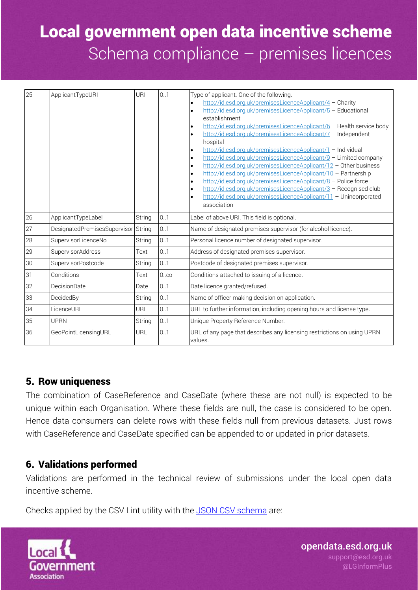| 25 | ApplicantTypeURI                    | URI           | 0.1       | Type of applicant. One of the following.<br>http://id.esd.org.uk/premisesLicenceApplicant/4 - Charity<br>http://id.esd.org.uk/premisesLicenceApplicant/5 - Educational<br>$\bullet$<br>establishment<br>http://id.esd.org.uk/premisesLicenceApplicant/6 - Health service body<br>$\bullet$<br>http://id.esd.org.uk/premisesLicenceApplicant/7 - Independent<br>$\bullet$<br>hospital<br>http://id.esd.org.uk/premisesLicenceApplicant/1 - Individual<br>$\bullet$<br>http://id.esd.org.uk/premisesLicenceApplicant/9 - Limited company<br>$\bullet$<br>http://id.esd.org.uk/premisesLicenceApplicant/12 - Other business<br>$\bullet$<br>http://id.esd.org.uk/premisesLicenceApplicant/10 - Partnership<br>$\bullet$<br>http://id.esd.org.uk/premisesLicenceApplicant/8 - Police force<br>٠<br>http://id.esd.org.uk/premisesLicenceApplicant/3 - Recognised club<br>$\bullet$<br>http://id.esd.org.uk/premisesLicenceApplicant/11 - Unincorporated<br>association |
|----|-------------------------------------|---------------|-----------|-------------------------------------------------------------------------------------------------------------------------------------------------------------------------------------------------------------------------------------------------------------------------------------------------------------------------------------------------------------------------------------------------------------------------------------------------------------------------------------------------------------------------------------------------------------------------------------------------------------------------------------------------------------------------------------------------------------------------------------------------------------------------------------------------------------------------------------------------------------------------------------------------------------------------------------------------------------------|
| 26 | ApplicantTypeLabel                  | String        | 0.1       | Label of above URI. This field is optional.                                                                                                                                                                                                                                                                                                                                                                                                                                                                                                                                                                                                                                                                                                                                                                                                                                                                                                                       |
| 27 | DesignatedPremisesSupervisor String |               | 0.1       | Name of designated premises supervisor (for alcohol licence).                                                                                                                                                                                                                                                                                                                                                                                                                                                                                                                                                                                                                                                                                                                                                                                                                                                                                                     |
| 28 | SupervisorLicenceNo                 | String        | 0.1       | Personal licence number of designated supervisor.                                                                                                                                                                                                                                                                                                                                                                                                                                                                                                                                                                                                                                                                                                                                                                                                                                                                                                                 |
| 29 | SupervisorAddress                   | Text          | 0.1       | Address of designated premises supervisor.                                                                                                                                                                                                                                                                                                                                                                                                                                                                                                                                                                                                                                                                                                                                                                                                                                                                                                                        |
| 30 | SupervisorPostcode                  | String        | 0.1       | Postcode of designated premises supervisor.                                                                                                                                                                                                                                                                                                                                                                                                                                                                                                                                                                                                                                                                                                                                                                                                                                                                                                                       |
| 31 | Conditions                          | Text          | $0\infty$ | Conditions attached to issuing of a licence.                                                                                                                                                                                                                                                                                                                                                                                                                                                                                                                                                                                                                                                                                                                                                                                                                                                                                                                      |
| 32 | DecisionDate                        | Date          | 0.1       | Date licence granted/refused.                                                                                                                                                                                                                                                                                                                                                                                                                                                                                                                                                                                                                                                                                                                                                                                                                                                                                                                                     |
| 33 | DecidedBy                           | <b>String</b> | 0.1       | Name of officer making decision on application.                                                                                                                                                                                                                                                                                                                                                                                                                                                                                                                                                                                                                                                                                                                                                                                                                                                                                                                   |
| 34 | LicenceURL                          | <b>URL</b>    | 0.1       | URL to further information, including opening hours and license type.                                                                                                                                                                                                                                                                                                                                                                                                                                                                                                                                                                                                                                                                                                                                                                                                                                                                                             |
| 35 | <b>UPRN</b>                         | String        | 0.1       | Unique Property Reference Number.                                                                                                                                                                                                                                                                                                                                                                                                                                                                                                                                                                                                                                                                                                                                                                                                                                                                                                                                 |
| 36 | GeoPointLicensingURL                | URL           | 0.1       | URL of any page that describes any licensing restrictions on using UPRN<br>values.                                                                                                                                                                                                                                                                                                                                                                                                                                                                                                                                                                                                                                                                                                                                                                                                                                                                                |

### 5. Row uniqueness

The combination of CaseReference and CaseDate (where these are not null) is expected to be unique within each Organisation. Where these fields are null, the case is considered to be open. Hence data consumers can delete rows with these fields null from previous datasets. Just rows with CaseReference and CaseDate specified can be appended to or updated in prior datasets.

### 6. Validations performed

Validations are performed in the technical review of submissions under the local open data incentive scheme.

Checks applied by the CSV Lint utility with the [JSON CSV schema](http://schemas.opendata.esd.org.uk/premiseslicences/PremisesLicences.json) are:

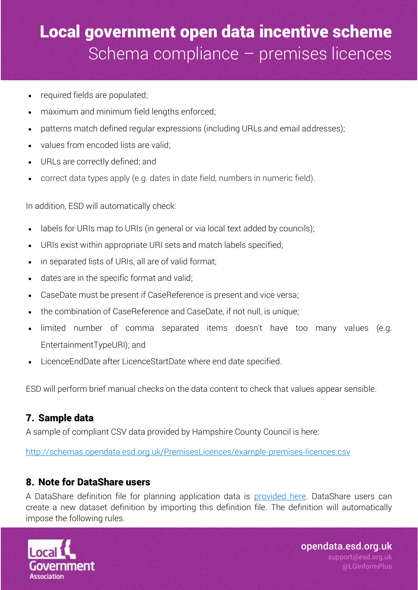- required fields are populated;
- maximum and minimum field lengths enforced;
- patterns match defined regular expressions (including URLs and email addresses);
- values from encoded lists are valid;
- URLs are correctly defined; and
- correct data types apply (e.g. dates in date field, numbers in numeric field).

In addition, ESD will automatically check:

- labels for URIs map to URIs (in general or via local text added by councils);
- URIs exist within appropriate URI sets and match labels specified;
- in separated lists of URIs, all are of valid format;
- dates are in the specific format and valid;
- CaseDate must be present if CaseReference is present and vice versa;
- the combination of CaseReference and CaseDate, if not null, is unique;
- limited number of comma separated items doesn't have too many values (e.g. EntertainmentTypeURI); and
- LicenceEndDate after LicenceStartDate where end date specified.

ESD will perform brief manual checks on the data content to check that values appear sensible.

### 7. Sample data

A sample of compliant CSV data provided by Hampshire County Council is here:

<http://schemas.opendata.esd.org.uk/PremisesLicences/example-premises-licences.csv>

### 8. Note for DataShare users

A DataShare definition file for planning application data is [provided here.](http://schemas.opendata.esd.org.uk/premiseslicences/PremisesLicences.xml) DataShare users can create a new dataset definition by importing this definition file. The definition will automatically impose the following rules.

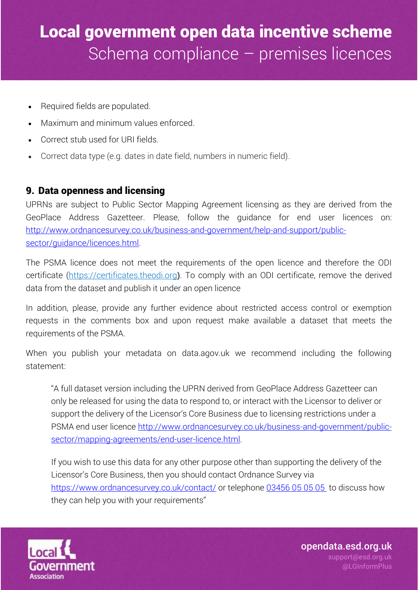- Required fields are populated.
- Maximum and minimum values enforced.
- Correct stub used for URI fields.
- Correct data type (e.g. dates in date field, numbers in numeric field).

### 9. Data openness and licensing

UPRNs are subject to Public Sector Mapping Agreement licensing as they are derived from the GeoPlace Address Gazetteer. Please, follow the guidance for end user licences on: [http://www.ordnancesurvey.co.uk/business-and-government/help-and-support/public](http://www.ordnancesurvey.co.uk/business-and-government/help-and-support/public-sector/guidance/licences.html)[sector/guidance/licences.html.](http://www.ordnancesurvey.co.uk/business-and-government/help-and-support/public-sector/guidance/licences.html)

The PSMA licence does not meet the requirements of the open licence and therefore the ODI certificate [\(https://certificates.theodi.org](https://certificates.theodi.org/)). To comply with an ODI certificate, remove the derived data from the dataset and publish it under an open licence

In addition, please, provide any further evidence about restricted access control or exemption requests in the comments box and upon request make available a dataset that meets the requirements of the PSMA.

When you publish your metadata on data.agov.uk we recommend including the following statement:

"A full dataset version including the UPRN derived from GeoPlace Address Gazetteer can only be released for using the data to respond to, or interact with the Licensor to deliver or support the delivery of the Licensor's Core Business due to licensing restrictions under a PSMA end user licence [http://www.ordnancesurvey.co.uk/business-and-government/public](http://www.ordnancesurvey.co.uk/business-and-government/public-sector/mapping-agreements/end-user-licence.html)[sector/mapping-agreements/end-user-licence.html.](http://www.ordnancesurvey.co.uk/business-and-government/public-sector/mapping-agreements/end-user-licence.html)

If you wish to use this data for any other purpose other than supporting the delivery of the Licensor's Core Business, then you should contact Ordnance Survey via <https://www.ordnancesurvey.co.uk/contact/> or telephone [03456](tel:03456050505) 05 05 05 to discuss how they can help you with your requirements"